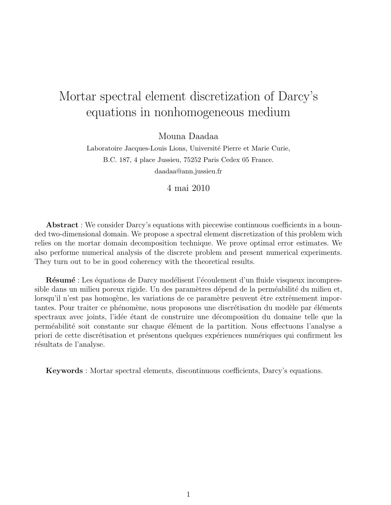# Mortar spectral element discretization of Darcy's equations in nonhomogeneous medium

Mouna Daadaa

Laboratoire Jacques-Louis Lions, Université Pierre et Marie Curie, B.C. 187, 4 place Jussieu, 75252 Paris Cedex 05 France. daadaa@ann.jussieu.fr

4 mai 2010

Abstract : We consider Darcy's equations with piecewise continuous coefficients in a bounded two-dimensional domain. We propose a spectral element discretization of this problem wich relies on the mortar domain decomposition technique. We prove optimal error estimates. We also performe numerical analysis of the discrete problem and present numerical experiments. They turn out to be in good coherency with the theoretical results.

Résumé : Les équations de Darcy modélisent l'écoulement d'un fluide visqueux incompressible dans un milieu poreux rigide. Un des paramètres dépend de la perméabilité du milieu et, lorsqu'il n'est pas homogène, les variations de ce paramètre peuvent être extrêmement importantes. Pour traiter ce phénomène, nous proposons une discrétisation du modèle par éléments spectraux avec joints, l'idée étant de construire une décomposition du domaine telle que la perméabilité soit constante sur chaque élément de la partition. Nous effectuons l'analyse a priori de cette discrétisation et présentons quelques expériences numériques qui confirment les résultats de l'analyse.

Keywords : Mortar spectral elements, discontinuous coefficients, Darcy's equations.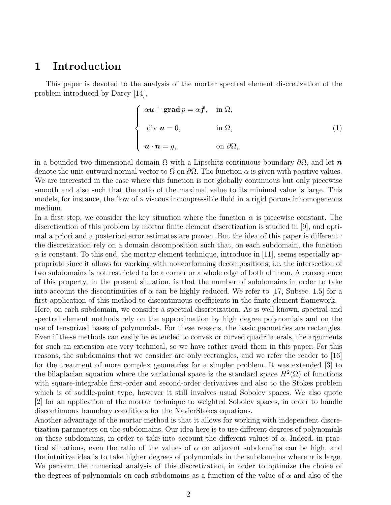# 1 Introduction

This paper is devoted to the analysis of the mortar spectral element discretization of the problem introduced by Darcy [14],

$$
\begin{cases}\n\alpha \mathbf{u} + \mathbf{grad}\,p = \alpha \mathbf{f}, & \text{in } \Omega, \\
\text{div } \mathbf{u} = 0, & \text{in } \Omega, \\
\mathbf{u} \cdot \mathbf{n} = g, & \text{on } \partial \Omega,\n\end{cases}
$$
\n(1)

in a bounded two-dimensional domain  $\Omega$  with a Lipschitz-continuous boundary  $\partial\Omega$ , and let n denote the unit outward normal vector to  $\Omega$  on  $\partial\Omega$ . The function  $\alpha$  is given with positive values. We are interested in the case where this function is not globally continuous but only piecewise smooth and also such that the ratio of the maximal value to its minimal value is large. This models, for instance, the flow of a viscous incompressible fluid in a rigid porous inhomogeneous medium.

In a first step, we consider the key situation where the function  $\alpha$  is piecewise constant. The discretization of this problem by mortar finite element discretization is studied in [9], and optimal a priori and a posteriori error estimates are proven. But the idea of this paper is different : the discretization rely on a domain decomposition such that, on each subdomain, the function  $\alpha$  is constant. To this end, the mortar element technique, introduce in [11], seems especially appropriate since it allows for working with noncorforming decompositions, i.e. the intersection of two subdomains is not restricted to be a corner or a whole edge of both of them. A consequence of this property, in the present situation, is that the number of subdomains in order to take into account the discontinuities of  $\alpha$  can be highly reduced. We refer to [17, Subsec. 1.5] for a first application of this method to discontinuous coefficients in the finite element framework.

Here, on each subdomain, we consider a spectral discretization. As is well known, spectral and spectral element methods rely on the approximation by high degree polynomials and on the use of tensorized bases of polynomials. For these reasons, the basic geometries are rectangles. Even if these methods can easily be extended to convex or curved quadrilaterals, the arguments for such an extension are very technical, so we have rather avoid them in this paper. For this reasons, the subdomains that we consider are only rectangles, and we refer the reader to [16] for the treatment of more complex geometries for a simpler problem. It was extended [3] to the bilaplacian equation where the variational space is the standard space  $H^2(\Omega)$  of functions with square-integrable first-order and second-order derivatives and also to the Stokes problem which is of saddle-point type, however it still involves usual Sobolev spaces. We also quote [2] for an application of the mortar technique to weighted Sobolev spaces, in order to handle discontinuous boundary conditions for the NavierStokes equations.

Another advantage of the mortar method is that it allows for working with independent discretization parameters on the subdomains. Our idea here is to use different degrees of polynomials on these subdomains, in order to take into account the different values of  $\alpha$ . Indeed, in practical situations, even the ratio of the values of  $\alpha$  on adjacent subdomains can be high, and the intuitive idea is to take higher degrees of polynomials in the subdomains where  $\alpha$  is large. We perform the numerical analysis of this discretization, in order to optimize the choice of the degrees of polynomials on each subdomains as a function of the value of  $\alpha$  and also of the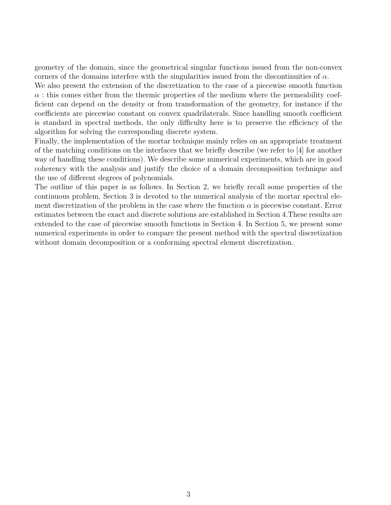geometry of the domain, since the geometrical singular functions issued from the non-convex corners of the domains interfere with the singularities issued from the discontinuities of  $\alpha$ .

We also present the extension of the discretization to the case of a piecewise smooth function  $\alpha$ : this comes either from the thermic properties of the medium where the permeability coefficient can depend on the density or from transformation of the geometry, for instance if the coefficients are piecewise constant on convex quadrilaterals. Since handling smooth coefficient is standard in spectral methods, the only difficulty here is to preserve the efficiency of the algorithm for solving the corresponding discrete system.

Finally, the implementation of the mortar technique mainly relies on an appropriate treatment of the matching conditions on the interfaces that we briefly describe (we refer to [4] for another way of handling these conditions). We describe some numerical experiments, which are in good coherency with the analysis and justify the choice of a domain decomposition technique and the use of different degrees of polynomials.

The outline of this paper is as follows. In Section 2, we briefly recall some properties of the continuous problem. Section 3 is devoted to the numerical analysis of the mortar spectral element discretization of the problem in the case where the function  $\alpha$  is piecewise constant. Error estimates between the exact and discrete solutions are established in Section 4.These results are extended to the case of piecewise smooth functions in Section 4. In Section 5, we present some numerical experiments in order to compare the present method with the spectral discretization without domain decomposition or a conforming spectral element discretization.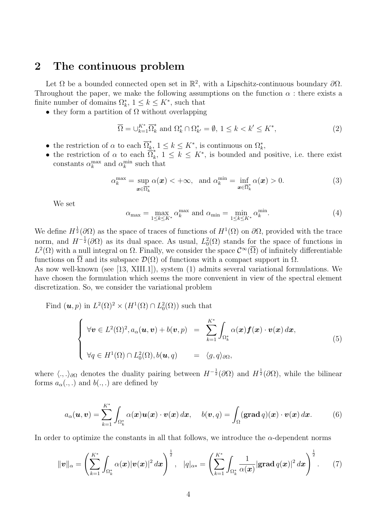### 2 The continuous problem

Let  $\Omega$  be a bounded connected open set in  $\mathbb{R}^2$ , with a Lipschitz-continuous boundary  $\partial\Omega$ . Throughout the paper, we make the following assumptions on the function  $\alpha$ : there exists a finite number of domains  $\Omega_k^*$ ,  $1 \leq k \leq K^*$ , such that

• they form a partition of  $\Omega$  without overlapping

$$
\overline{\Omega} = \bigcup_{k=1}^{K^*} \overline{\Omega}_k^* \text{ and } \Omega_k^* \cap \Omega_{k'}^* = \emptyset, \ 1 \le k < k' \le K^*, \tag{2}
$$

- the restriction of  $\alpha$  to each  $\overline{\Omega}_k^*$  $\frac{k}{k}$ ,  $1 \leq k \leq K^*$ , is continuous on  $\Omega_k^*$ ,
- the restriction of  $\alpha$  to each  $\overline{\Omega}_k^*$  $k$ ,  $1 \leq k \leq K^*$ , is bounded and positive, i.e. there exist constants  $\alpha_k^{\max}$  and  $\alpha_k^{\min}$  such that

$$
\alpha_k^{\max} = \sup_{\mathbf{x} \in \overline{\Omega}_k^*} \alpha(\mathbf{x}) < +\infty, \quad \text{and } \alpha_k^{\min} = \inf_{\mathbf{x} \in \overline{\Omega}_k^*} \alpha(\mathbf{x}) > 0. \tag{3}
$$

We set

$$
\alpha_{\max} = \max_{1 \le k \le K^*} \alpha_k^{\max} \text{ and } \alpha_{\min} = \min_{1 \le k \le K^*} \alpha_k^{\min}.\tag{4}
$$

We define  $H^{\frac{1}{2}}(\partial\Omega)$  as the space of traces of functions of  $H^1(\Omega)$  on  $\partial\Omega$ , provided with the trace norm, and  $H^{-\frac{1}{2}}(\partial\Omega)$  as its dual space. As usual,  $L_0^2(\Omega)$  stands for the space of functions in  $L^2(\Omega)$  with a null integral on  $\Omega$ . Finally, we consider the space  $\mathcal{C}^{\infty}(\overline{\Omega})$  of infinitely differentiable functions on  $\overline{\Omega}$  and its subspace  $\mathcal{D}(\Omega)$  of functions with a compact support in  $\Omega$ .

As now well-known (see [13, XIII.1]), system (1) admits several variational formulations. We have chosen the formulation which seems the more convenient in view of the spectral element discretization. So, we consider the variational problem

Find  $(\mathbf{u}, p)$  in  $L^2(\Omega)^2 \times (H^1(\Omega) \cap L^2_0(\Omega))$  such that

$$
\begin{cases}\n\forall \boldsymbol{v} \in L^{2}(\Omega)^{2}, a_{\alpha}(\boldsymbol{u}, \boldsymbol{v}) + b(\boldsymbol{v}, p) &= \sum_{k=1}^{K^{*}} \int_{\Omega_{k}^{*}} \alpha(\boldsymbol{x}) \boldsymbol{f}(\boldsymbol{x}) \cdot \boldsymbol{v}(\boldsymbol{x}) \, d\boldsymbol{x}, \\
\forall q \in H^{1}(\Omega) \cap L^{2}_{0}(\Omega), b(\boldsymbol{u}, q) &= \langle g, q \rangle_{\partial\Omega},\n\end{cases} \tag{5}
$$

where  $\langle ., .\rangle_{\partial\Omega}$  denotes the duality pairing between  $H^{-\frac{1}{2}}(\partial\Omega)$  and  $H^{\frac{1}{2}}(\partial\Omega)$ , while the bilinear forms  $a_{\alpha}(.,.)$  and  $b(.,.)$  are defined by

$$
a_{\alpha}(\boldsymbol{u},\boldsymbol{v})=\sum_{k=1}^{K^*}\int_{\Omega_k^*}\alpha(\boldsymbol{x})\boldsymbol{u}(\boldsymbol{x})\cdot\boldsymbol{v}(\boldsymbol{x})\,d\boldsymbol{x},\quad b(\boldsymbol{v},q)=\int_{\Omega}(\mathbf{grad}\,q)(\boldsymbol{x})\cdot\boldsymbol{v}(\boldsymbol{x})\,d\boldsymbol{x}.\qquad(6)
$$

In order to optimize the constants in all that follows, we introduce the  $\alpha$ -dependent norms

$$
\|\bm{v}\|_{\alpha} = \left(\sum_{k=1}^{K^*} \int_{\Omega_k^*} \alpha(\bm{x}) |\bm{v}(\bm{x})|^2 d\bm{x}\right)^{\frac{1}{2}}, \quad |q|_{\alpha^*} = \left(\sum_{k=1}^{K^*} \int_{\Omega_k^*} \frac{1}{\alpha(\bm{x})} |\text{grad } q(\bm{x})|^2 d\bm{x}\right)^{\frac{1}{2}}.
$$
 (7)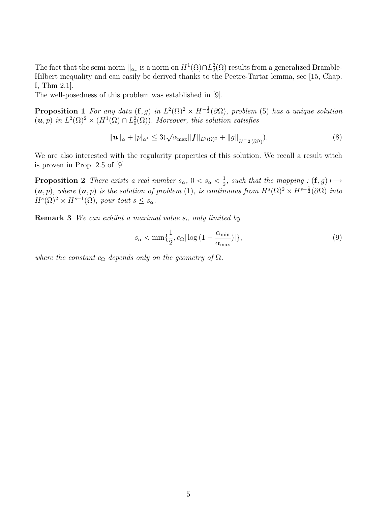The fact that the semi-norm  $||_{\alpha_*}$  is a norm on  $H^1(\Omega) \cap L_0^2(\Omega)$  results from a generalized Bramble-Hilbert inequality and can easily be derived thanks to the Peetre-Tartar lemma, see [15, Chap. I, Thm 2.1].

The well-posedness of this problem was established in [9].

**Proposition 1** For any data  $(f, g)$  in  $L^2(\Omega)^2 \times H^{-\frac{1}{2}}(\partial \Omega)$ , problem (5) has a unique solution  $(u, p)$  in  $L^2(\Omega)^2 \times (H^1(\Omega) \cap L^2_0(\Omega))$ . Moreover, this solution satisfies

$$
\|\bm{u}\|_{\alpha} + |p|_{\alpha^*} \le 3(\sqrt{\alpha_{\max}} \|\bm{f}\|_{L^2(\Omega)^2} + \|g\|_{H^{-\frac{1}{2}}(\partial\Omega)}).
$$
\n(8)

We are also interested with the regularity properties of this solution. We recall a result witch is proven in Prop. 2.5 of [9].

**Proposition 2** There exists a real number  $s_{\alpha}$ ,  $0 < s_{\alpha} < \frac{1}{2}$  $\frac{1}{2}$ , such that the mapping :  $(f, g) \longmapsto$  $(u, p)$ , where  $(u, p)$  is the solution of problem (1), is continuous from  $H^{s}(\Omega)^{2} \times H^{s-\frac{1}{2}}(\partial \Omega)$  into  $H^{s}(\Omega)^{2} \times H^{s+1}(\Omega)$ , pour tout  $s \leq s_{\alpha}$ .

**Remark 3** We can exhibit a maximal value  $s_{\alpha}$  only limited by

$$
s_{\alpha} < \min\{\frac{1}{2}, c_{\Omega} |\log\left(1 - \frac{\alpha_{\min}}{\alpha_{\max}}\right)|\},\tag{9}
$$

where the constant  $c_{\Omega}$  depends only on the geometry of  $\Omega$ .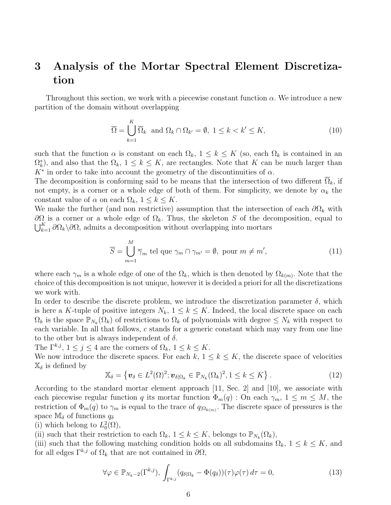# 3 Analysis of the Mortar Spectral Element Discretization

Throughout this section, we work with a piecewise constant function  $\alpha$ . We introduce a new partition of the domain without overlapping

$$
\overline{\Omega} = \bigcup_{k=1}^{K} \overline{\Omega}_k \text{ and } \Omega_k \cap \Omega_{k'} = \emptyset, \ 1 \le k < k' \le K,\tag{10}
$$

such that the function  $\alpha$  is constant on each  $\Omega_k$ ,  $1 \leq k \leq K$  (so, each  $\Omega_k$  is contained in an  $\Omega_k^*$ , and also that the  $\Omega_k$ ,  $1 \leq k \leq K$ , are rectangles. Note that K can be much larger than  $K^*$  in order to take into account the geometry of the discontinuities of  $\alpha$ .

The decomposition is conforming said to be means that the intersection of two different  $\overline{\Omega}_k$ , if not empty, is a corner or a whole edge of both of them. For simplicity, we denote by  $\alpha_k$  the constant value of  $\alpha$  on each  $\Omega_k$ ,  $1 \leq k \leq K$ .

We make the further (and non restrictive) assumption that the intersection of each  $\partial\Omega_k$  with  $\partial\Omega$  is a corner or a whole edge of  $\Omega_k$ . Thus, the skeleton S of the decomposition, equal to  $\bigcup_{k=1}^{K} \partial \Omega_k \backslash \partial \Omega$ , admits a decomposition without overlapping into mortars

$$
\overline{S} = \bigcup_{m=1}^{M} \overline{\gamma}_m \text{ tel que } \gamma_m \cap \gamma_{m'} = \emptyset, \text{ pour } m \neq m', \tag{11}
$$

where each  $\gamma_m$  is a whole edge of one of the  $\Omega_k$ , which is then denoted by  $\Omega_{k(m)}$ . Note that the choice of this decomposition is not unique, however it is decided a priori for all the discretizations we work with.

In order to describe the discrete problem, we introduce the discretization parameter  $\delta$ , which is here a K-tuple of positive integers  $N_k$ ,  $1 \leq k \leq K$ . Indeed, the local discrete space on each  $\Omega_k$  is the space  $\mathbb{P}_{N_k}(\Omega_k)$  of restrictions to  $\Omega_k$  of polynomials with degree  $\leq N_k$  with respect to each variable. In all that follows, c stands for a generic constant which may vary from one line to the other but is always independent of  $\delta$ .

The  $\Gamma^{k,j}$ ,  $1 \leq j \leq 4$  are the corners of  $\Omega_k$ ,  $1 \leq k \leq K$ .

We now introduce the discrete spaces. For each  $k, 1 \leq k \leq K$ , the discrete space of velocities  $\mathbb{X}_{\delta}$  is defined by

$$
\mathbb{X}_{\delta} = \left\{ \boldsymbol{v}_{\delta} \in L^{2}(\Omega)^{2}; \boldsymbol{v}_{\delta|\Omega_{k}} \in \mathbb{P}_{N_{k}}(\Omega_{k})^{2}, 1 \leq k \leq K \right\}.
$$
 (12)

According to the standard mortar element approach [11, Sec. 2] and [10], we associate with each piecewise regular function q its mortar function  $\Phi_m(q)$ : On each  $\gamma_m$ ,  $1 \leq m \leq M$ , the restriction of  $\Phi_m(q)$  to  $\gamma_m$  is equal to the trace of  $q_{\vert\Omega_{k(m)}}$ . The discrete space of pressures is the space  $\mathbb{M}_{\delta}$  of functions  $q_{\delta}$ 

(i) which belong to  $L_0^2(\Omega)$ ,

(ii) such that their restriction to each  $\Omega_k$ ,  $1 \leq k \leq K$ , belongs to  $\mathbb{P}_{N_k}(\Omega_k)$ ,

(iii) such that the following matching condition holds on all subdomains  $\Omega_k$ ,  $1 \leq k \leq K$ , and for all edges  $\Gamma^{k,j}$  of  $\Omega_k$  that are not contained in  $\partial\Omega$ ,

$$
\forall \varphi \in \mathbb{P}_{N_k-2}(\Gamma^{k,j}), \int_{\Gamma^{k,j}} (q_{\delta|\Omega_k} - \Phi(q_{\delta}))(\tau) \varphi(\tau) d\tau = 0, \tag{13}
$$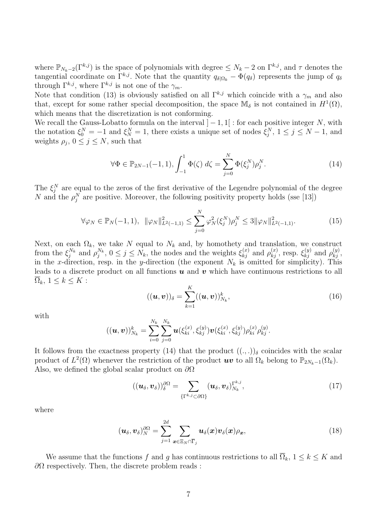where  $\mathbb{P}_{N_k-2}(\Gamma^{k,j})$  is the space of polynomials with degree  $\leq N_k-2$  on  $\Gamma^{k,j}$ , and  $\tau$  denotes the tangential coordinate on  $\Gamma^{k,j}$ . Note that the quantity  $q_{\delta|\Omega_k} - \tilde{\Phi}(q_{\delta})$  represents the jump of  $q_{\delta}$ through  $\Gamma^{k,j}$ , where  $\Gamma^{k,j}$  is not one of the  $\gamma_m$ .

Note that condition (13) is obviously satisfied on all  $\Gamma^{k,j}$  which coincide with a  $\gamma_m$  and also that, except for some rather special decomposition, the space  $\mathbb{M}_{\delta}$  is not contained in  $H^1(\Omega)$ , which means that the discretization is not conforming.

We recall the Gauss-Lobatto formula on the interval  $]-1,1[$ : for each positive integer N, with the notation  $\xi_0^N = -1$  and  $\xi_N^N = 1$ , there exists a unique set of nodes  $\xi_j^N$ ,  $1 \le j \le N - 1$ , and weights  $\rho_j$ ,  $0 \leq j \leq N$ , such that

$$
\forall \Phi \in \mathbb{P}_{2N-1}(-1,1), \int_{-1}^{1} \Phi(\zeta) \, d\zeta = \sum_{j=0}^{N} \Phi(\xi_j^N) \rho_j^N. \tag{14}
$$

The  $\xi_j^N$  are equal to the zeros of the first derivative of the Legendre polynomial of the degree N and the  $\rho_j^N$  are positive. Moreover, the following positivity property holds (sse [13])

$$
\forall \varphi_N \in \mathbb{P}_N(-1,1), \ \|\varphi_N\|_{L^2(-1,1)}^2 \le \sum_{j=0}^N \varphi_N^2(\xi_j^N)\rho_j^N \le 3 \|\varphi_N\|_{L^2(-1,1)}^2.
$$
 (15)

Next, on each  $\Omega_k$ , we take N equal to  $N_k$  and, by homothety and translation, we construct from the  $\xi_j^{N_k}$  and  $\rho_j^{N_k}$ ,  $0 \le j \le N_k$ , the nodes and the weights  $\xi_{kj}^{(x)}$  and  $\rho_{kj}^{(x)}$ , resp.  $\xi_{kj}^{(y)}$  and  $\rho_{kj}^{(y)}$ , in the x-direction, resp. in the y-direction (the exponent  $N_k$  is omitted for simplicity). This leads to a discrete product on all functions  $u$  and  $v$  which have continuous restrictions to all  $\overline{\Omega}_k, 1 \leq k \leq K$ :

$$
((\boldsymbol{u},\boldsymbol{v}))_{\delta} = \sum_{k=1}^{K} ((\boldsymbol{u},\boldsymbol{v}))_{N_k}^k,
$$
\n(16)

with

$$
((\boldsymbol{u},\boldsymbol{v}))_{N_k}^k = \sum_{i=0}^{N_k} \sum_{j=0}^{N_k} \boldsymbol{u}(\xi_{ki}^{(x)}, \xi_{kj}^{(y)}) \boldsymbol{v}(\xi_{ki}^{(x)}, \xi_{kj}^{(y)}) \rho_{ki}^{(x)} \rho_{kj}^{(y)}.
$$

It follows from the exactness property (14) that the product  $((, .))$ <sub>δ</sub> coincides with the scalar product of  $L^2(\Omega)$  whenever the restriction of the product  $uv$  to all  $\Omega_k$  belong to  $\mathbb{P}_{2N_k-1}(\Omega_k)$ . Also, we defined the global scalar product on  $\partial\Omega$ 

$$
((\boldsymbol{u}_{\delta},\boldsymbol{v}_{\delta}))_{\delta}^{\partial\Omega} = \sum_{\{\Gamma^{k,j}\subset\partial\Omega\}} (\boldsymbol{u}_{\delta},\boldsymbol{v}_{\delta})_{N_k}^{\Gamma^{k,j}},
$$
(17)

where

$$
(\boldsymbol{u}_{\delta}, \boldsymbol{v}_{\delta})_{N}^{\partial\Omega} = \sum_{j=1}^{2d} \sum_{\boldsymbol{x}\in\Xi_{N}\cap\overline{\Gamma}_{j}} \boldsymbol{u}_{\delta}(\boldsymbol{x})\boldsymbol{v}_{\delta}(\boldsymbol{x})\rho_{\boldsymbol{x}},
$$
\n(18)

We assume that the functions f and g has continuous restrictions to all  $\overline{\Omega}_k$ ,  $1 \leq k \leq K$  and  $\partial\Omega$  respectively. Then, the discrete problem reads :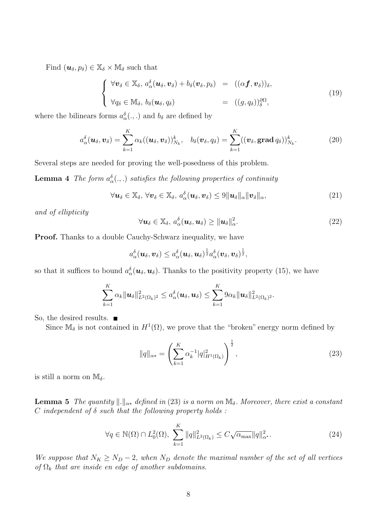Find  $(\boldsymbol{u}_{\delta}, p_{\delta}) \in \mathbb{X}_{\delta} \times \mathbb{M}_{\delta}$  such that

$$
\begin{cases}\n\forall \boldsymbol{v}_{\delta} \in \mathbb{X}_{\delta}, \, a_{\alpha}^{\delta}(\boldsymbol{u}_{\delta}, \boldsymbol{v}_{\delta}) + b_{\delta}(\boldsymbol{v}_{\delta}, p_{\delta}) = ((\alpha \boldsymbol{f}, \boldsymbol{v}_{\delta}))_{\delta}, \\
\forall q_{\delta} \in \mathbb{M}_{\delta}, \, b_{\delta}(\boldsymbol{u}_{\delta}, q_{\delta}) = ((g, q_{\delta}))_{\delta}^{\partial \Omega},\n\end{cases}
$$
\n(19)

where the bilinears forms  $a_{\alpha}^{\delta}(.,.)$  and  $b_{\delta}$  are defined by

$$
a_{\alpha}^{\delta}(\boldsymbol{u}_{\delta},\boldsymbol{v}_{\delta})=\sum_{k=1}^{K}\alpha_{k}((\boldsymbol{u}_{\delta},\boldsymbol{v}_{\delta}))_{N_{k}}^{k},\quad b_{\delta}(\boldsymbol{v}_{\delta},q_{\delta})=\sum_{k=1}^{K}((\boldsymbol{v}_{\delta},\mathbf{grad}\,q_{\delta}))_{N_{k}}^{k}.
$$
\n(20)

Several steps are needed for proving the well-posedness of this problem.

**Lemma 4** The form  $a_{\alpha}^{\delta}(.,.)$  satisfies the following properties of continuity

$$
\forall \boldsymbol{u}_{\delta} \in \mathbb{X}_{\delta}, \ \forall \boldsymbol{v}_{\delta} \in \mathbb{X}_{\delta}, \ a_{\alpha}^{\delta}(\boldsymbol{u}_{\delta},\boldsymbol{v}_{\delta}) \leq 9 \|\boldsymbol{u}_{\delta}\|_{\alpha} \|\boldsymbol{v}_{\delta}\|_{\alpha}, \tag{21}
$$

and of ellipticity

$$
\forall \boldsymbol{u}_{\delta} \in \mathbb{X}_{\delta}, \, a_{\alpha}^{\delta}(\boldsymbol{u}_{\delta},\boldsymbol{u}_{\delta}) \geq ||\boldsymbol{u}_{\delta}||_{\alpha}^{2}.
$$

**Proof.** Thanks to a double Cauchy-Schwarz inequality, we have

$$
a_{\alpha}^{\delta}(\boldsymbol{u}_{\delta},\boldsymbol{v}_{\delta}) \leq a_{\alpha}^{\delta}(\boldsymbol{u}_{\delta},\boldsymbol{u}_{\delta})^{\frac{1}{2}}a_{\alpha}^{\delta}(\boldsymbol{v}_{\delta},\boldsymbol{v}_{\delta})^{\frac{1}{2}},
$$

so that it suffices to bound  $a_{\alpha}^{\delta}(\boldsymbol{u}_{\delta},\boldsymbol{u}_{\delta})$ . Thanks to the positivity property (15), we have

$$
\sum_{k=1}^K \alpha_k ||\boldsymbol{u}_{\delta}||_{L^2(\Omega_k)^2}^2 \leq a_{\alpha}^{\delta}(\boldsymbol{u}_{\delta},\boldsymbol{u}_{\delta}) \leq \sum_{k=1}^K 9\alpha_k ||\boldsymbol{u}_{\delta}||_{L^2(\Omega_k)^2}^2.
$$

So, the desired results.  $\blacksquare$ 

Since  $\mathbb{M}_{\delta}$  is not contained in  $H^{1}(\Omega)$ , we prove that the "broken" energy norm defined by

$$
||q||_{\alpha*} = \left(\sum_{k=1}^{K} \alpha_k^{-1} |q|_{H^1(\Omega_k)}^2\right)^{\frac{1}{2}},
$$
\n(23)

is still a norm on  $\mathbb{M}_{\delta}$ .

**Lemma 5** The quantity  $\|\cdot\|_{\alpha*}$  defined in (23) is a norm on  $\mathbb{M}_{\delta}$ . Moreover, there exist a constant C independent of  $\delta$  such that the following property holds:

$$
\forall q \in \mathbb{N}(\Omega) \cap L_0^2(\Omega), \sum_{k=1}^K \|q\|_{L^2(\Omega_k)}^2 \le C\sqrt{\alpha_{\max}} \|q\|_{\alpha^*}^2.
$$
 (24)

We suppose that  $N_K \ge N_D - 2$ , when  $N_D$  denote the maximal number of the set of all vertices of  $\Omega_k$  that are inside en edge of another subdomains.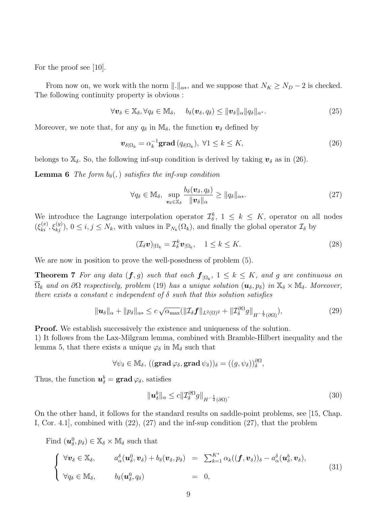For the proof see [10].

From now on, we work with the norm  $\|.\|_{\alpha*}$ , and we suppose that  $N_K \ge N_D - 2$  is checked. The following continuity property is obvious :

$$
\forall \boldsymbol{v}_{\delta} \in \mathbb{X}_{\delta}, \forall q_{\delta} \in \mathbb{M}_{\delta}, \quad b_{\delta}(\boldsymbol{v}_{\delta}, q_{\delta}) \leq ||\boldsymbol{v}_{\delta}||_{\alpha} ||q_{\delta}||_{\alpha^*}.
$$
 (25)

Moreover, we note that, for any  $q_\delta$  in  $\mathbb{M}_\delta$ , the function  $\mathbf{v}_\delta$  defined by

$$
\boldsymbol{v}_{\delta|\Omega_k} = \alpha_k^{-1} \mathbf{grad}\,(q_{\delta|\Omega_k}), \ \forall 1 \leq k \leq K,\tag{26}
$$

belongs to  $\mathbb{X}_{\delta}$ . So, the following inf-sup condition is derived by taking  $v_{\delta}$  as in (26).

**Lemma 6** The form  $b_{\delta}$ , satisfies the inf-sup condition

$$
\forall q_{\delta} \in \mathbb{M}_{\delta}, \ \sup_{\boldsymbol{v}_{\delta} \in \mathbb{X}_{\delta}} \frac{b_{\delta}(\boldsymbol{v}_{\delta}, q_{\delta})}{\|\boldsymbol{v}_{\delta}\|_{\alpha}} \geq \|q_{\delta}\|_{\alpha*}.
$$
 (27)

We introduce the Lagrange interpolation operator  $\mathcal{I}_{\delta}^k$ ,  $1 \leq k \leq K$ , operator on all nodes  $(\xi_{ki}^{(x)}, \xi_{kj}^{(y)}), 0 \le i, j \le N_k$ , with values in  $\mathbb{P}_{N_k}(\Omega_k)$ , and finally the global operator  $\mathcal{I}_{\delta}$  by

$$
(\mathcal{I}_{\delta}\boldsymbol{v})_{|\Omega_k} = \mathcal{I}_{\delta}^k \boldsymbol{v}_{|\Omega_k}, \quad 1 \le k \le K. \tag{28}
$$

We are now in position to prove the well-posedness of problem (5).

**Theorem 7** For any data  $(f, g)$  such that each  $f_{|\Omega_k}$ ,  $1 \leq k \leq K$ , and g are continuous on  $\overline{\Omega}_k$  and on  $\partial\Omega$  respectively, problem (19) has a unique solution  $(\mathbf{u}_{\delta}, p_{\delta})$  in  $\mathbb{X}_{\delta} \times \mathbb{M}_{\delta}$ . Moreover, there exists a constant c independent of  $\delta$  suvh that this solution satisfies

$$
\|\mathbf{u}_{\delta}\|_{\alpha} + \|p_{\delta}\|_{\alpha*} \leq c \sqrt{\alpha_{\max}} (\|\mathcal{I}_{\delta} \mathbf{f}\|_{L^{2}(\Omega)^{2}} + \|\mathcal{I}_{\delta}^{\partial \Omega} g\|_{H^{-\frac{1}{2}}(\partial \Omega)}),
$$
\n(29)

**Proof.** We establish successively the existence and uniqueness of the solution.

1) It follows from the Lax-Milgram lemma, combined with Bramble-Hilbert inequality and the lemma 5, that there exists a unique  $\varphi_{\delta}$  in  $\mathbb{M}_{\delta}$  such that

$$
\forall \psi_{\delta} \in \mathbb{M}_{\delta}, \, ((\mathbf{grad}\, \varphi_{\delta}, \mathbf{grad}\, \psi_{\delta}))_{\delta} = ((g, \psi_{\delta}))_{\delta}^{\partial \Omega},
$$

Thus, the function  $\boldsymbol{u}_{\delta}^b = \mathbf{grad} \varphi_{\delta}$ , satisfies

$$
\|\mathbf{u}_{\delta}^{b}\|_{\alpha} \leq c \|\mathcal{I}_{\delta}^{\partial \Omega} g\|_{H^{-\frac{1}{2}}(\partial \Omega)}.
$$
\n(30)

On the other hand, it follows for the standard results on saddle-point problems, see [15, Chap. I, Cor. 4.1], combined with (22), (27) and the inf-sup condition (27), that the problem

Find  $(\boldsymbol{u}_{\delta}^0, p_{\delta}) \in \mathbb{X}_{\delta} \times \mathbb{M}_{\delta}$  such that

$$
\begin{cases}\n\forall \boldsymbol{v}_{\delta} \in \mathbb{X}_{\delta}, & a_{\alpha}^{\delta}(\boldsymbol{u}_{\delta}^{0},\boldsymbol{v}_{\delta}) + b_{\delta}(\boldsymbol{v}_{\delta},p_{\delta}) = \sum_{k=1}^{K^{*}} \alpha_{k}((\boldsymbol{f},\boldsymbol{v}_{\delta}))_{\delta} - a_{\alpha}^{\delta}(\boldsymbol{u}_{\delta}^{b},\boldsymbol{v}_{\delta}), \\
\forall q_{\delta} \in \mathbb{M}_{\delta}, & b_{\delta}(\boldsymbol{u}_{\delta}^{0},q_{\delta}) = 0, \n\end{cases}
$$
\n(31)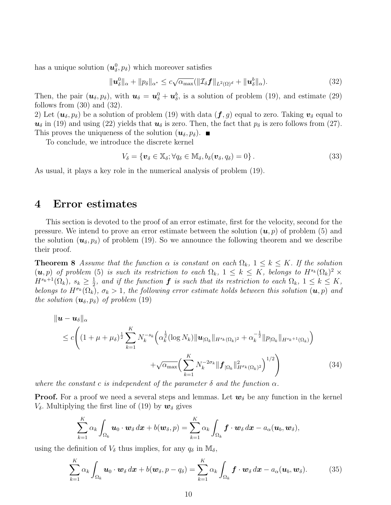has a unique solution  $(\boldsymbol{u}^0_\delta, p_\delta)$  which moreover satisfies

$$
\|\mathbf{u}_{\delta}^0\|_{\alpha} + \|p_{\delta}\|_{\alpha^*} \leq c\sqrt{\alpha_{\max}}(\|\mathcal{I}_{\delta}\mathbf{f}\|_{L^2(\Omega)^d} + \|\mathbf{u}_{\delta}^b\|_{\alpha}). \tag{32}
$$

Then, the pair  $(\mathbf{u}_{\delta}, p_{\delta})$ , with  $\mathbf{u}_{\delta} = \mathbf{u}_{\delta}^0 + \mathbf{u}_{\delta}^b$ , is a solution of problem (19), and estimate (29) follows from  $(30)$  and  $(32)$ .

2) Let  $(\mathbf{u}_{\delta}, p_{\delta})$  be a solution of problem (19) with data  $(\mathbf{f}, g)$  equal to zero. Taking  $\mathbf{v}_{\delta}$  equal to  $u_{\delta}$  in (19) and using (22) yields that  $u_{\delta}$  is zero. Then, the fact that  $p_{\delta}$  is zero follows from (27). This proves the uniqueness of the solution  $(\boldsymbol{u}_{\delta}, p_{\delta})$ .

To conclude, we introduce the discrete kernel

$$
V_{\delta} = \{ \boldsymbol{v}_{\delta} \in \mathbb{X}_{\delta}; \forall q_{\delta} \in \mathbb{M}_{\delta}, b_{\delta}(\boldsymbol{v}_{\delta}, q_{\delta}) = 0 \}.
$$
 (33)

As usual, it plays a key role in the numerical analysis of problem (19).

#### 4 Error estimates

This section is devoted to the proof of an error estimate, first for the velocity, second for the pressure. We intend to prove an error estimate between the solution  $(u, p)$  of problem (5) and the solution  $(u_{\delta}, p_{\delta})$  of problem (19). So we announce the following theorem and we describe their proof.

**Theorem 8** Assume that the function  $\alpha$  is constant on each  $\Omega_k$ ,  $1 \leq k \leq K$ . If the solution  $(u, p)$  of problem (5) is such its restriction to each  $\Omega_k$ ,  $1 \leq k \leq K$ , belongs to  $H^{s_k}(\Omega_k)^2$   $\times$  $H^{s_k+1}(\Omega_k), s_k \geq \frac{1}{2}$  $\frac{1}{2}$ , and if the function  $\boldsymbol{f}$  is such that its restriction to each  $\Omega_k$ ,  $1 \leq k \leq K$ , belongs to  $H^{\sigma_k}(\Omega_k)$ ,  $\sigma_k > 1$ , the following error estimate holds between this solution  $(u, p)$  and the solution  $(\boldsymbol{u}_{\delta}, p_{\delta})$  of problem (19)

$$
\|\mathbf{u} - \mathbf{u}_{\delta}\|_{\alpha} \leq c \Bigg( (1 + \mu + \mu_{\delta})^{\frac{1}{2}} \sum_{k=1}^{K} N_k^{-s_k} \Big( \alpha_k^{\frac{1}{2}} (\log N_k) \|\mathbf{u}_{\Omega_k}\|_{H^{s_k}(\Omega_k)^2} + \alpha_k^{-\frac{1}{2}} \|p_{\Omega_k}\|_{H^{s_k+1}(\Omega_k)} \Big) + \sqrt{\alpha_{\max}} \Big( \sum_{k=1}^{K} N_k^{-2\sigma_k} \| \mathbf{f}_{\Omega_k} \|_{H^{\sigma_k}(\Omega_k)^2}^2 \Bigg)^{1/2} \Bigg) \tag{34}
$$

where the constant c is independent of the parameter  $\delta$  and the function  $\alpha$ .

**Proof.** For a proof we need a several steps and lemmas. Let  $w_{\delta}$  be any function in the kernel  $V_{\delta}$ . Multiplying the first line of (19) by  $w_{\delta}$  gives

$$
\sum_{k=1}^K \alpha_k \int_{\Omega_k} \boldsymbol{u}_0 \cdot \boldsymbol{w}_{\delta} d\boldsymbol{x} + b(\boldsymbol{w}_{\delta}, p) = \sum_{k=1}^K \alpha_k \int_{\Omega_k} \boldsymbol{f} \cdot \boldsymbol{w}_{\delta} d\boldsymbol{x} - a_{\alpha}(\boldsymbol{u}_b, \boldsymbol{w}_{\delta}),
$$

using the definition of  $V_{\delta}$  thus implies, for any  $q_{\delta}$  in  $\mathbb{M}_{\delta}$ ,

$$
\sum_{k=1}^{K} \alpha_k \int_{\Omega_k} \boldsymbol{u}_0 \cdot \boldsymbol{w}_{\delta} d\boldsymbol{x} + b(\boldsymbol{w}_{\delta}, p - q_{\delta}) = \sum_{k=1}^{K} \alpha_k \int_{\Omega_k} \boldsymbol{f} \cdot \boldsymbol{w}_{\delta} d\boldsymbol{x} - a_{\alpha}(\boldsymbol{u}_b, \boldsymbol{w}_{\delta}). \tag{35}
$$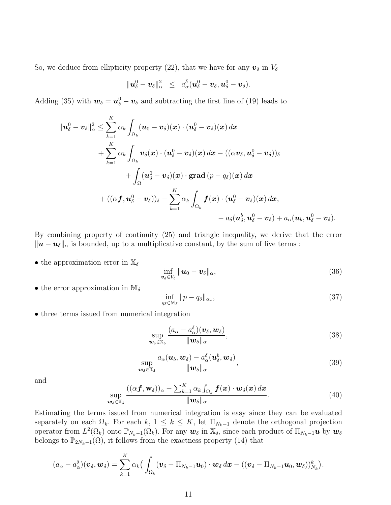So, we deduce from ellipticity property (22), that we have for any  $v_{\delta}$  in  $V_{\delta}$ 

$$
\|\mathbf{u}_{\delta}^0-\mathbf{v}_{\delta}\|_{\alpha}^2 \ \leq \ a_{\alpha}^{\delta}(\mathbf{u}_{\delta}^0-\mathbf{v}_{\delta},\mathbf{u}_{\delta}^0-\mathbf{v}_{\delta}).
$$

Adding (35) with  $w_{\delta} = u_{\delta}^0 - v_{\delta}$  and subtracting the first line of (19) leads to

$$
\|\boldsymbol{u}_{\delta}^{0}-\boldsymbol{v}_{\delta}\|_{\alpha}^{2} \leq \sum_{k=1}^{K} \alpha_{k} \int_{\Omega_{k}} (\boldsymbol{u}_{0}-\boldsymbol{v}_{\delta})(\boldsymbol{x}) \cdot (\boldsymbol{u}_{\delta}^{0}-\boldsymbol{v}_{\delta})(\boldsymbol{x}) d\boldsymbol{x} \n+ \sum_{k=1}^{K} \alpha_{k} \int_{\Omega_{k}} \boldsymbol{v}_{\delta}(\boldsymbol{x}) \cdot (\boldsymbol{u}_{\delta}^{0}-\boldsymbol{v}_{\delta})(\boldsymbol{x}) d\boldsymbol{x} - ((\alpha \boldsymbol{v}_{\delta}, \boldsymbol{u}_{\delta}^{0}-\boldsymbol{v}_{\delta}))_{\delta} \n+ \int_{\Omega} (\boldsymbol{u}_{\delta}^{0}-\boldsymbol{v}_{\delta})(\boldsymbol{x}) \cdot \operatorname{grad}(p-q_{\delta})(\boldsymbol{x}) d\boldsymbol{x} \n+ ((\alpha \boldsymbol{f}, \boldsymbol{u}_{\delta}^{0}-\boldsymbol{v}_{\delta}))_{\delta} - \sum_{k=1}^{K} \alpha_{k} \int_{\Omega_{k}} \boldsymbol{f}(\boldsymbol{x}) \cdot (\boldsymbol{u}_{\delta}^{0}-\boldsymbol{v}_{\delta})(\boldsymbol{x}) d\boldsymbol{x}, \n- a_{\delta}(\boldsymbol{u}_{\delta}^{b}, \boldsymbol{u}_{\delta}^{0}-\boldsymbol{v}_{\delta}) + a_{\alpha}(\boldsymbol{u}_{b}, \boldsymbol{u}_{\delta}^{0}-\boldsymbol{v}_{\delta}).
$$

By combining property of continuity (25) and triangle inequality, we derive that the error  $\|\boldsymbol{u} - \boldsymbol{u}_{\delta}\|_{\alpha}$  is bounded, up to a multiplicative constant, by the sum of five terms :

• the approximation error in  $\mathbb{X}_{\delta}$ 

$$
\inf_{\boldsymbol{v}_{\delta}\in V_{\delta}}\|\boldsymbol{u}_0-\boldsymbol{v}_{\delta}\|_{\alpha},\tag{36}
$$

• the error approximation in  $\mathbb{M}_{\delta}$ 

$$
\inf_{q_\delta \in \mathbb{M}_\delta} \|p - q_\delta\|_{\alpha_*},\tag{37}
$$

• three terms issued from numerical integration

$$
\sup_{\boldsymbol{w}_{\delta}\in\mathbb{X}_{\delta}}\frac{(a_{\alpha}-a_{\alpha}^{\delta})(\boldsymbol{v}_{\delta},\boldsymbol{w}_{\delta})}{\|\boldsymbol{w}_{\delta}\|_{\alpha}},
$$
\n(38)

$$
\sup_{\boldsymbol{w}_{\delta}\in\mathbb{X}_{\delta}}\frac{a_{\alpha}(\boldsymbol{u}_{b},\boldsymbol{w}_{\delta})-a_{\alpha}^{\delta}(\boldsymbol{u}_{\delta}^b,\boldsymbol{w}_{\delta})}{\|\boldsymbol{w}_{\delta}\|_{\alpha}},
$$
\n(39)

and

$$
\sup_{\boldsymbol{w}_{\delta}\in\mathbb{X}_{\delta}}\frac{((\alpha\boldsymbol{f},\mathbf{w}_{\delta}))_{\alpha}-\sum_{k=1}^{K}\alpha_{k}\int_{\Omega_{k}}\boldsymbol{f}(\boldsymbol{x})\cdot\boldsymbol{w}_{\delta}(\boldsymbol{x}) d\boldsymbol{x}}{\|\boldsymbol{w}_{\delta}\|_{\alpha}}.
$$
\n(40)

Estimating the terms issued from numerical integration is easy since they can be evaluated separately on each  $\Omega_k$ . For each k,  $1 \leq k \leq K$ , let  $\Pi_{N_k-1}$  denote the orthogonal projection operator from  $L^2(\Omega_k)$  onto  $\mathbb{P}_{N_k-1}(\Omega_k)$ . For any  $\boldsymbol{w}_{\delta}$  in  $\mathbb{X}_{\delta}$ , since each product of  $\Pi_{N_k-1}\boldsymbol{u}$  by  $\boldsymbol{w}_{\delta}$ belongs to  $\mathbb{P}_{2N_k-1}(\Omega)$ , it follows from the exactness property (14) that

$$
(a_{\alpha}-a_{\alpha}^{\delta})(\boldsymbol{v}_{\delta},\boldsymbol{w}_{\delta})=\sum_{k=1}^K\alpha_k\big(\int_{\Omega_k}(\boldsymbol{v}_{\delta}-\Pi_{N_k-1}\boldsymbol{u}_0)\cdot\boldsymbol{w}_{\delta}\,d\boldsymbol{x}-((\boldsymbol{v}_{\delta}-\Pi_{N_k-1}\boldsymbol{u}_0,\boldsymbol{w}_{\delta}))_{N_k}^k\big).
$$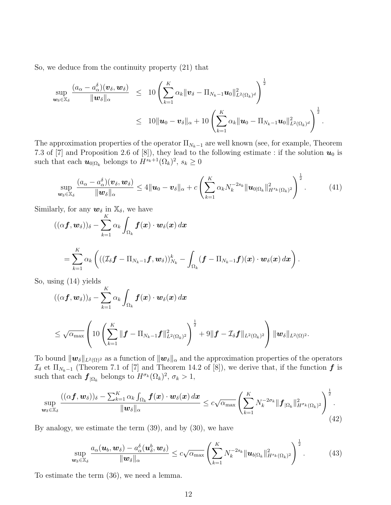So, we deduce from the continuity property (21) that

$$
\sup_{\boldsymbol{w}_{\delta}\in\mathbb{X}_{\delta}}\frac{(a_{\alpha}-a_{\alpha}^{\delta})(\boldsymbol{v}_{\delta},\boldsymbol{w}_{\delta})}{\|\boldsymbol{w}_{\delta}\|_{\alpha}} \leq 10\left(\sum_{k=1}^{K}\alpha_{k}\|\boldsymbol{v}_{\delta}-\Pi_{N_{k}-1}\boldsymbol{u}_{0}\|_{L^{2}(\Omega_{k})^{d}}^{2}\right)^{\frac{1}{2}}\leq 10\|\boldsymbol{u}_{0}-\boldsymbol{v}_{\delta}\|_{\alpha}+10\left(\sum_{k=1}^{K}\alpha_{k}\|\boldsymbol{u}_{0}-\Pi_{N_{k}-1}\boldsymbol{u}_{0}\|_{L^{2}(\Omega_{k})^{d}}^{2}\right)^{\frac{1}{2}}.
$$

The approximation properties of the operator  $\Pi_{N_k-1}$  are well known (see, for example, Theorem 7.3 of [7] and Proposition 2.6 of [8]), they lead to the following estimate : if the solution  $u_0$  is such that each  $\mathbf{u}_{0|\Omega_k}$  belongs to  $H^{s_k+1}(\Omega_k)^2$ ,  $s_k \geq 0$ 

$$
\sup_{\boldsymbol{w}_{\delta}\in\mathbb{X}_{\delta}}\frac{(a_{\alpha}-a_{\alpha}^{\delta})(\boldsymbol{v}_{\delta},\boldsymbol{w}_{\delta})}{\|\boldsymbol{w}_{\delta}\|_{\alpha}}\leq 4\|\boldsymbol{u}_{0}-\boldsymbol{v}_{\delta}\|_{\alpha}+c\left(\sum_{k=1}^{K}\alpha_{k}N_{k}^{-2s_{k}}\|\boldsymbol{u}_{0|\Omega_{k}}\|_{H^{s_{k}}(\Omega_{k})^{2}}^{2}\right)^{\frac{1}{2}}.
$$
(41)

Similarly, for any  $w_{\delta}$  in  $\mathbb{X}_{\delta}$ , we have

$$
((\alpha \boldsymbol{f}, \boldsymbol{w}_{\delta}))_{\delta} - \sum_{k=1}^{K} \alpha_k \int_{\Omega_k} \boldsymbol{f}(\boldsymbol{x}) \cdot \boldsymbol{w}_{\delta}(\boldsymbol{x}) d\boldsymbol{x} = \sum_{k=1}^{K} \alpha_k \left( ((\mathcal{I}_{\delta} \boldsymbol{f} - \Pi_{N_k-1} \boldsymbol{f}, \boldsymbol{w}_{\delta}))_{N_k}^k - \int_{\Omega_k} (\boldsymbol{f} - \Pi_{N_k-1} \boldsymbol{f})(\boldsymbol{x}) \cdot \boldsymbol{w}_{\delta}(\boldsymbol{x}) d\boldsymbol{x} \right).
$$

So, using (14) yields

$$
((\alpha \boldsymbol{f}, \boldsymbol{w}_{\delta}))_{\delta} - \sum_{k=1}^{K} \alpha_k \int_{\Omega_k} \boldsymbol{f}(\boldsymbol{x}) \cdot \boldsymbol{w}_{\delta}(\boldsymbol{x}) d\boldsymbol{x}
$$
  

$$
\leq \sqrt{\alpha_{\max}} \left( 10 \left( \sum_{k=1}^{K} \|\boldsymbol{f} - \Pi_{N_k-1} \boldsymbol{f} \|_{L^2(\Omega_k)^2}^2 \right)^{\frac{1}{2}} + 9 \|\boldsymbol{f} - \mathcal{I}_{\delta} \boldsymbol{f} \|_{L^2(\Omega_k)^2} \right) \|\boldsymbol{w}_{\delta}\|_{L^2(\Omega)^2}.
$$

To bound  $\|\mathbf{w}_{\delta}\|_{L^2(\Omega)^2}$  as a function of  $\|\mathbf{w}_{\delta}\|_{\alpha}$  and the approximation properties of the operators  $\mathcal{I}_{\delta}$  et  $\Pi_{N_k-1}$  (Theorem 7.1 of [7] and Theorem 14.2 of [8]), we derive that, if the function  $f$  is such that each  $\mathbf{f}_{|\Omega_k}$  belongs to  $H^{\sigma_k}(\Omega_k)^2$ ,  $\sigma_k > 1$ ,

$$
\sup_{\boldsymbol{w}_{\delta}\in\mathbb{X}_{\delta}}\frac{((\alpha\boldsymbol{f},\boldsymbol{w}_{\delta}))_{\delta}-\sum_{k=1}^{K}\alpha_{k}\int_{\Omega_{k}}\boldsymbol{f}(\boldsymbol{x})\cdot\boldsymbol{w}_{\delta}(\boldsymbol{x}) d\boldsymbol{x}}{\|\boldsymbol{w}_{\delta}\|_{\alpha}}\leq c\sqrt{\alpha_{\max}}\left(\sum_{k=1}^{K}N_{k}^{-2\sigma_{k}}\|\boldsymbol{f}_{\Omega_{k}}\|_{H^{\sigma_{k}}(\Omega_{k})^{2}}^{2}\right)^{\frac{1}{2}}.
$$
\n(42)

By analogy, we estimate the term (39), and by (30), we have

$$
\sup_{\boldsymbol{w}_{\delta}\in\mathbb{X}_{\delta}}\frac{a_{\alpha}(\boldsymbol{u}_{b},\boldsymbol{w}_{\delta})-a_{\alpha}^{\delta}(\boldsymbol{u}_{\delta}^b,\boldsymbol{w}_{\delta})}{\|\boldsymbol{w}_{\delta}\|_{\alpha}}\leq c\sqrt{\alpha_{\max}}\left(\sum_{k=1}^K N_k^{-2s_k}\|\boldsymbol{u}_{b|\Omega_k}\|_{H^{s_k}(\Omega_k)^2}^2\right)^{\frac{1}{2}}.\tag{43}
$$

To estimate the term (36), we need a lemma.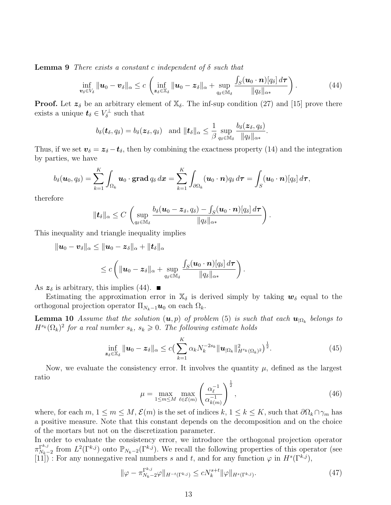**Lemma 9** There exists a constant c independent of  $\delta$  such that

$$
\inf_{\boldsymbol{v}_{\delta}\in V_{\delta}}\|\boldsymbol{u}_{0}-\boldsymbol{v}_{\delta}\|_{\alpha}\leq c\left(\inf_{\boldsymbol{z}_{\delta}\in\mathbb{X}_{\delta}}\|\boldsymbol{u}_{0}-\boldsymbol{z}_{\delta}\|_{\alpha}+\sup_{q_{\delta}\in\mathbb{M}_{\delta}}\frac{\int_{S}(\boldsymbol{u}_{0}\cdot\boldsymbol{n})[q_{\delta}]\,d\boldsymbol{\tau}}{\|q_{\delta}\|_{\alpha*}}\right).
$$
\n(44)

.

**Proof.** Let  $z_{\delta}$  be an arbitrary element of  $\mathbb{X}_{\delta}$ . The inf-sup condition (27) and [15] prove there exists a unique  $t_{\delta} \in V_{\delta}^{\perp}$  such that

$$
b_{\delta}(\boldsymbol{t}_{\delta},q_{\delta})=b_{\delta}(\boldsymbol{z}_{\delta},q_{\delta})\quad\text{and}\ \|\boldsymbol{t}_{\delta}\|_{\alpha}\leq\frac{1}{\beta}\sup_{q_{\delta}\in\mathbb{M}_{\delta}}\frac{b_{\delta}(\boldsymbol{z}_{\delta},q_{\delta})}{\|q_{\delta}\|_{\alpha*}}
$$

Thus, if we set  $v_{\delta} = z_{\delta} - t_{\delta}$ , then by combining the exactness property (14) and the integration by parties, we have

$$
b_{\delta}(\boldsymbol{u}_0,q_{\delta})=\sum_{k=1}^K\int_{\Omega_k}\boldsymbol{u}_0\cdot\boldsymbol{\mathrm{grad}}\,q_{\delta}\,d\boldsymbol{x}=\sum_{k=1}^K\int_{\partial\Omega_k}(\boldsymbol{u}_0\cdot\boldsymbol{n})q_{\delta}\,d\boldsymbol{\tau}=\int_S(\boldsymbol{u}_0\cdot\boldsymbol{n})[q_{\delta}]\,d\boldsymbol{\tau},
$$

therefore

$$
\|\bm t_{\delta}\|_{\alpha}\leq C\,\left(\sup_{q_{\delta}\in\mathbb{M}_{\delta}}\frac{b_{\delta}(\bm u_0-\bm z_{\delta},q_{\delta})-\int_{S}(\bm u_0\cdot\bm n)[q_{\delta}]\,d\bm\tau}{\|q_{\delta}\|_{\alpha*}}\right).
$$

This inequality and triangle inequality implies

$$
\begin{aligned}\n\|\boldsymbol{u}_0-\boldsymbol{v}_{\delta}\|_{\alpha}&\leq \|\boldsymbol{u}_0-\boldsymbol{z}_{\delta}\|_{\alpha}+\|\boldsymbol{t}_{\delta}\|_{\alpha}\\
&\leq c\left(\|\boldsymbol{u}_0-\boldsymbol{z}_{\delta}\|_{\alpha}+\sup_{q_{\delta}\in\mathbb{M}_{\delta}}\frac{\int_S(\boldsymbol{u}_0\cdot\boldsymbol{n})[q_{\delta}]\,d\boldsymbol{\tau}}{\|q_{\delta}\|_{\alpha*}}\right).\n\end{aligned}
$$

As  $z_{\delta}$  is arbitrary, this implies (44).

Estimating the approximation error in  $\mathbb{X}_{\delta}$  is derived simply by taking  $w_{\delta}$  equal to the orthogonal projection operator  $\Pi_{N_k-1}u_0$  on each  $\Omega_k$ .

**Lemma 10** Assume that the solution  $(u, p)$  of problem (5) is such that each  $u_{|\Omega_k}$  belongs to  $H^{s_k}(\Omega_k)^2$  for a real number  $s_k, s_k \geqslant 0$ . The following estimate holds

$$
\inf_{\boldsymbol{z}_{\delta}\in\mathbb{X}_{\delta}}\|\boldsymbol{u}_{0}-\boldsymbol{z}_{\delta}\|_{\alpha}\le c\big(\sum_{k=1}^{K}\alpha_{k}N_{k}^{-2s_{k}}\|\boldsymbol{u}_{|\Omega_{k}}\|_{H^{s_{k}}(\Omega_{k})^{2}}^{2}\big)^{\frac{1}{2}}.
$$
\n(45)

Now, we evaluate the consistency error. It involves the quantity  $\mu$ , defined as the largest ratio

$$
\mu = \max_{1 \le m \le M} \max_{\ell \in \mathcal{E}(m)} \left( \frac{\alpha_{\ell}^{-1}}{\alpha_{k(m)}^{-1}} \right)^{\frac{1}{2}},\tag{46}
$$

where, for each  $m, 1 \leq m \leq M$ ,  $\mathcal{E}(m)$  is the set of indices  $k, 1 \leq k \leq K$ , such that  $\partial \Omega_k \cap \gamma_m$  has a positive measure. Note that this constant depends on the decomposition and on the choice of the mortars but not on the discretization parameter.

In order to evaluate the consistency error, we introduce the orthogonal projection operator  $\pi_{N_{k-}}^{\Gamma^{k,j}}$  $\Gamma^{k,j}_{N_k-2}$  from  $L^2(\Gamma^{k,j})$  onto  $\mathbb{P}_{N_k-2}(\Gamma^{k,j})$ . We recall the following properties of this operator (see [11]) : For any nonnegative real numbers s and t, and for any function  $\varphi$  in  $H^s(\Gamma^{k,j}),$ 

$$
\|\varphi - \pi_{N_k - 2}^{\Gamma^{k,j}} \varphi\|_{H^{-t}(\Gamma^{k,j})} \le c N_k^{s+t} \|\varphi\|_{H^s(\Gamma^{k,j})}.
$$
\n(47)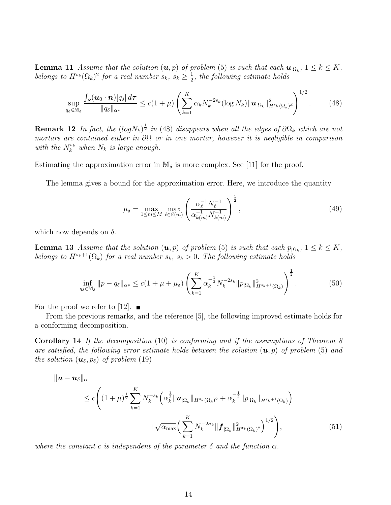**Lemma 11** Assume that the solution  $(u, p)$  of problem (5) is such that each  $u_{|\Omega_k}$ ,  $1 \leq k \leq K$ , belongs to  $H^{s_k}(\Omega_k)^2$  for a real number  $s_k, s_k \geq \frac{1}{2}$  $\frac{1}{2}$ , the following estimate holds

$$
\sup_{q_{\delta}\in\mathbb{M}_{\delta}}\frac{\int_{S}(\boldsymbol{u}_{0}\cdot\boldsymbol{n})[q_{\delta}]\,d\boldsymbol{\tau}}{\|q_{\delta}\|_{\alpha*}}\leq c(1+\mu)\left(\sum_{k=1}^{K}\alpha_{k}N_{k}^{-2s_{k}}(\log N_{k})\|\boldsymbol{u}_{|\Omega_{k}}\|_{H^{s_{k}}(\Omega_{k})^{d}}^{2}\right)^{1/2}.\tag{48}
$$

**Remark 12** In fact, the  $(log N_k)^{\frac{1}{2}}$  in (48) disappears when all the edges of  $\partial\Omega_k$  which are not mortars are contained either in  $\partial\Omega$  or in one mortar, however it is negligible in comparison with the  $N_k^{s_k}$  when  $N_k$  is large enough.

Estimating the approximation error in  $\mathbb{M}_{\delta}$  is more complex. See [11] for the proof.

The lemma gives a bound for the approximation error. Here, we introduce the quantity

$$
\mu_{\delta} = \max_{1 \le m \le M} \max_{\ell \in \mathcal{E}(m)} \left( \frac{\alpha_{\ell}^{-1} N_{\ell}^{-1}}{\alpha_{k(m)}^{-1} N_{k(m)}^{-1}} \right)^{\frac{1}{2}},
$$
\n(49)

which now depends on  $\delta$ .

**Lemma 13** Assume that the solution  $(u, p)$  of problem (5) is such that each  $p_{|\Omega_k}$ ,  $1 \leq k \leq K$ , belongs to  $H^{s_k+1}(\Omega_k)$  for a real number  $s_k$ ,  $s_k > 0$ . The following estimate holds

$$
\inf_{q_{\delta}\in\mathbb{M}_{\delta}}\|p-q_{\delta}\|_{\alpha*} \leq c(1+\mu+\mu_{\delta})\left(\sum_{k=1}^{K}\alpha_k^{-\frac{1}{2}}N_k^{-2s_k}\|p_{|\Omega_k}\|_{H^{s_k+1}(\Omega_k)}^2\right)^{\frac{1}{2}}.\tag{50}
$$

For the proof we refer to [12].  $\blacksquare$ 

From the previous remarks, and the reference [5], the following improved estimate holds for a conforming decomposition.

Corollary 14 If the decomposition (10) is conforming and if the assumptions of Theorem 8 are satisfied, the following error estimate holds between the solution  $(u, p)$  of problem (5) and the solution  $(\boldsymbol{u}_{\delta}, p_{\delta})$  of problem (19)

$$
\|u - u_{\delta}\|_{\alpha} \leq c \Bigg( (1 + \mu)^{\frac{1}{2}} \sum_{k=1}^{K} N_k^{-s_k} \Big( \alpha_k^{\frac{1}{2}} \|u_{|\Omega_k|} \|_{H^{s_k}(\Omega_k)^2} + \alpha_k^{-\frac{1}{2}} \|p_{|\Omega_k|} \|_{H^{s_k+1}(\Omega_k)} \Big) + \sqrt{\alpha_{\max}} \Big( \sum_{k=1}^{K} N_k^{-2\sigma_k} \|f_{|\Omega_k} \|_{H^{\sigma_k}(\Omega_k)^2}^2 \Big)^{1/2} \Bigg), \tag{51}
$$

where the constant c is independent of the parameter  $\delta$  and the function  $\alpha$ .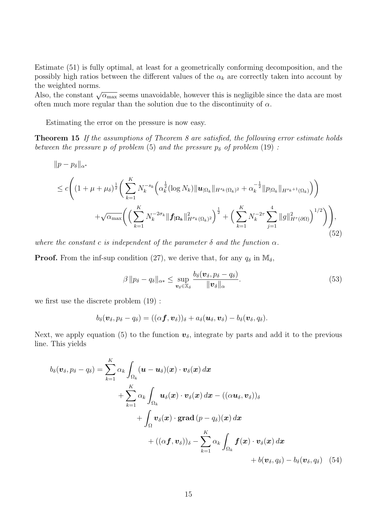Estimate (51) is fully optimal, at least for a geometrically conforming decomposition, and the possibly high ratios between the different values of the  $\alpha_k$  are correctly taken into account by the weighted norms.

Also, the constant  $\sqrt{\alpha_{\text{max}}}$  seems unavoidable, however this is negligible since the data are most often much more regular than the solution due to the discontinuity of  $\alpha$ .

Estimating the error on the pressure is now easy.

**Theorem 15** If the assumptions of Theorem 8 are satisfied, the following error estimate holds between the pressure p of problem (5) and the pressure  $p_{\delta}$  of problem (19) :

$$
||p - p_{\delta}||_{\alpha^{*}}\n\leq c \Biggl((1 + \mu + \mu_{\delta})^{\frac{1}{2}} \Biggl(\sum_{k=1}^{K} N_{k}^{-s_{k}} \Bigl(\alpha_{k}^{\frac{1}{2}} (\log N_{k}) ||u_{|\Omega_{k}}||_{H^{s_{k}}(\Omega_{k})^{2}} + \alpha_{k}^{-\frac{1}{2}} ||p_{|\Omega_{k}}||_{H^{s_{k}+1}(\Omega_{k})}\Bigr)\Biggr) + \sqrt{\alpha_{\max}} \Biggl(\Bigl(\sum_{k=1}^{K} N_{k}^{-2\sigma_{k}} ||f_{|\Omega_{k}}||_{H^{\sigma_{k}}(\Omega_{k})^{2}}^{2}\Bigr)^{\frac{1}{2}} + \Bigl(\sum_{k=1}^{K} N_{k}^{-2\tau} \sum_{j=1}^{4} ||g||_{H^{\tau}(\partial\Omega)}^{2}\Bigr)^{1/2}\Biggr)\Biggr), \tag{52}
$$

where the constant c is independent of the parameter  $\delta$  and the function  $\alpha$ .

**Proof.** From the inf-sup condition (27), we derive that, for any  $q_\delta$  in  $\mathbb{M}_\delta$ ,

$$
\beta \| p_{\delta} - q_{\delta} \|_{\alpha*} \leq \sup_{\boldsymbol{v}_{\delta} \in \mathbb{X}_{\delta}} \frac{b_{\delta}(\boldsymbol{v}_{\delta}, p_{\delta} - q_{\delta})}{\|\boldsymbol{v}_{\delta}\|_{\alpha}}.
$$
\n(53)

we first use the discrete problem (19) :

$$
b_{\delta}(\boldsymbol{v}_{\delta},p_{\delta}-q_{\delta})=((\alpha\boldsymbol{f},\boldsymbol{v}_{\delta}))_{\delta}+a_{\delta}(\boldsymbol{u}_{\delta},\boldsymbol{v}_{\delta})-b_{\delta}(\boldsymbol{v}_{\delta},q_{\delta}).
$$

Next, we apply equation (5) to the function  $v_{\delta}$ , integrate by parts and add it to the previous line. This yields

$$
b_{\delta}(\boldsymbol{v}_{\delta}, p_{\delta} - q_{\delta}) = \sum_{k=1}^{K} \alpha_k \int_{\Omega_k} (\boldsymbol{u} - \boldsymbol{u}_{\delta})(\boldsymbol{x}) \cdot \boldsymbol{v}_{\delta}(\boldsymbol{x}) d\boldsymbol{x} + \sum_{k=1}^{K} \alpha_k \int_{\Omega_k} \boldsymbol{u}_{\delta}(\boldsymbol{x}) \cdot \boldsymbol{v}_{\delta}(\boldsymbol{x}) d\boldsymbol{x} - ((\alpha \boldsymbol{u}_{\delta}, \boldsymbol{v}_{\delta}))_{\delta} + \int_{\Omega} \boldsymbol{v}_{\delta}(\boldsymbol{x}) \cdot \operatorname{grad}(p - q_{\delta})(\boldsymbol{x}) d\boldsymbol{x} + ((\alpha \boldsymbol{f}, \boldsymbol{v}_{\delta}))_{\delta} - \sum_{k=1}^{K} \alpha_k \int_{\Omega_k} \boldsymbol{f}(\boldsymbol{x}) \cdot \boldsymbol{v}_{\delta}(\boldsymbol{x}) d\boldsymbol{x} + b(\boldsymbol{v}_{\delta}, q_{\delta}) - b_{\delta}(\boldsymbol{v}_{\delta}, q_{\delta})
$$
(54)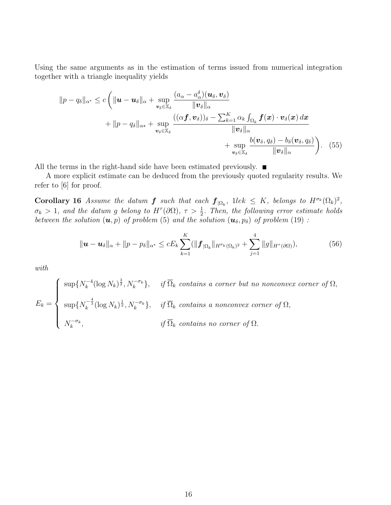Using the same arguments as in the estimation of terms issued from numerical integration together with a triangle inequality yields

$$
||p - q_{\delta}||_{\alpha^{*}} \leq c \left( ||\boldsymbol{u} - \boldsymbol{u}_{\delta}||_{\alpha} + \sup_{\boldsymbol{v}_{\delta} \in \mathbb{X}_{\delta}} \frac{(a_{\alpha} - a_{\alpha}^{\delta})(\boldsymbol{u}_{\delta}, \boldsymbol{v}_{\delta})}{||\boldsymbol{v}_{\delta}||_{\alpha}} + ||p - q_{\delta}||_{\alpha^{*}} + \sup_{\boldsymbol{v}_{\delta} \in \mathbb{X}_{\delta}} \frac{((\alpha \boldsymbol{f}, \boldsymbol{v}_{\delta}))_{\delta} - \sum_{k=1}^{K} \alpha_{k} \int_{\Omega_{k}} \boldsymbol{f}(\boldsymbol{x}) \cdot \boldsymbol{v}_{\delta}(\boldsymbol{x}) d\boldsymbol{x}}{||\boldsymbol{v}_{\delta}||_{\alpha}} + \sup_{\boldsymbol{v}_{\delta} \in \mathbb{X}_{\delta}} \frac{b(\boldsymbol{v}_{\delta}, q_{\delta}) - b_{\delta}(\boldsymbol{v}_{\delta}, q_{\delta})}{||\boldsymbol{v}_{\delta}||_{\alpha}} \right). \tag{55}
$$

All the terms in the right-hand side have been estimated previously.  $\blacksquare$ 

A more explicit estimate can be deduced from the previously quoted regularity results. We refer to [6] for proof.

**Corollary 16** Assume the datum **f** such that each  $f_{|\Omega_k}$ , 1lek  $\leq K$ , belongs to  $H^{\sigma_k}(\Omega_k)^2$ ,  $\sigma_k > 1$ , and the datum g belong to  $H^{\tau}(\partial \Omega)$ ,  $\tau > \frac{1}{2}$ . Then, the following error estimate holds between the solution  $(\mathbf{u}, p)$  of problem (5) and the solution  $(\mathbf{u}_{\delta}, p_{\delta})$  of problem (19):

$$
\|\mathbf{u}-\mathbf{u}_{\delta}\|_{\alpha}+\|p-p_{\delta}\|_{\alpha^{*}} \leq cE_{k} \sum_{k=1}^{K} (\|\mathbf{f}_{|\Omega_{k}}\|_{H^{\sigma_{k}}(\Omega_{k})^{2}}+\sum_{j=1}^{4} \|g\|_{H^{\tau}(\partial\Omega)}),
$$
(56)

with

 $E_k =$  $\sqrt{ }$  $\int$  $\overline{\mathcal{L}}$  $\sup\{N_k^{-4}$  $k_k^{-4} (\log N_k)^{\frac{3}{2}}, N_k^{-\sigma_k}\}, \quad \textit{if $\overline{\Omega}_k$ contains a corner but no nonconvex corner of $\Omega$},$  $\sup\{N_k^{-\frac{4}{3}}(\log N_k)^{\frac{1}{2}},N_k^{-\sigma_k}\}, \quad \textit{if $\overline{\Omega}_k$ contains a nonconvex corner of $\Omega$},$  $N_k^{-\sigma_k}$ , if  $\overline{\Omega}_k$  contains no corner of  $\Omega$ .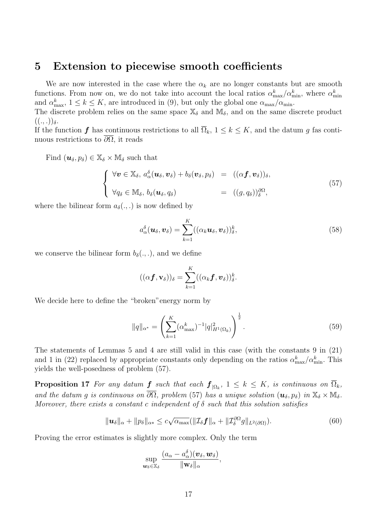#### 5 Extension to piecewise smooth coefficients

We are now interested in the case where the  $\alpha_k$  are no longer constants but are smooth functions. From now on, we do not take into account the local ratios  $\alpha_{\max}^k/\alpha_{\min}^k$ , where  $\alpha_{\min}^k$ and  $\alpha_{\max}^k$ ,  $1 \leq k \leq K$ , are introduced in (9), but only the global one  $\alpha_{\max}/\alpha_{\min}$ .

The discrete problem relies on the same space  $\mathbb{X}_{\delta}$  and  $\mathbb{M}_{\delta}$ , and on the same discrete product  $((., .))_{\delta}.$ 

If the function f has continuous restrictions to all  $\overline{\Omega}_k$ ,  $1 \leq k \leq K$ , and the datum g fas continuous restrictions to  $\partial\Omega$ , it reads

Find  $(\boldsymbol{u}_{\delta}, p_{\delta}) \in \mathbb{X}_{\delta} \times \mathbb{M}_{\delta}$  such that

$$
\begin{cases}\n\forall \boldsymbol{v} \in \mathbb{X}_{\delta}, \, a_{\alpha}^{\delta}(\boldsymbol{u}_{\delta}, \boldsymbol{v}_{\delta}) + b_{\delta}(\boldsymbol{v}_{\delta}, p_{\delta}) = ((\alpha \boldsymbol{f}, \boldsymbol{v}_{\delta}))_{\delta}, \\
\forall q_{\delta} \in \mathbb{M}_{\delta}, \, b_{\delta}(\boldsymbol{u}_{\delta}, q_{\delta}) = ((g, q_{\delta}))_{\delta}^{\partial \Omega},\n\end{cases}
$$
\n(57)

where the bilinear form  $a_{\delta}(.,.)$  is now defined by

$$
a_{\alpha}^{\delta}(\boldsymbol{u}_{\delta},\boldsymbol{v}_{\delta}) = \sum_{k=1}^{K} ((\alpha_k \boldsymbol{u}_{\delta},\boldsymbol{v}_{\delta}))_{\delta}^{k},
$$
\n(58)

we conserve the bilinear form  $b_{\delta}(\cdot, \cdot)$ , and we define

$$
((\alpha \boldsymbol{f}, \mathbf{v}_{\delta}))_{\delta} = \sum_{k=1}^{K} ((\alpha_{k} \boldsymbol{f}, \boldsymbol{v}_{\delta}))_{\delta}^{k}.
$$

We decide here to define the "broken"energy norm by

$$
||q||_{\alpha^*} = \left(\sum_{k=1}^K (\alpha_{\text{max}}^k)^{-1} |q|_{H^1(\Omega_k)}^2\right)^{\frac{1}{2}}.
$$
\n(59)

The statements of Lemmas 5 and 4 are still valid in this case (with the constants 9 in (21) and 1 in (22) replaced by appropriate constants only depending on the ratios  $\alpha_{\max}^k/\alpha_{\min}^k$ . This yields the well-posedness of problem (57).

**Proposition 17** For any datum  $f$  such that each  $f_{|\Omega_k}$ ,  $1 \leq k \leq K$ , is continuous on  $\Omega_k$ , and the datum g is continuous on  $\overline{\partial\Omega}$ , problem (57) has a unique solution  $(\mathbf{u}_{\delta}, p_{\delta})$  in  $\mathbb{X}_{\delta} \times \mathbb{M}_{\delta}$ . Moreover, there exists a constant c independent of  $\delta$  such that this solution satisfies

$$
\|\boldsymbol{u}_{\delta}\|_{\alpha} + \|p_{\delta}\|_{\alpha*} \leq c\sqrt{\alpha_{\max}}(\|\mathcal{I}_{\delta}\boldsymbol{f}\|_{\alpha} + \|\mathcal{I}_{\delta}^{\partial\Omega}g\|_{L^{2}(\partial\Omega)}).
$$
\n(60)

Proving the error estimates is slightly more complex. Only the term

$$
\sup_{\boldsymbol{w}_{\delta}\in\mathbb{X}_{\delta}}\frac{(a_{\alpha}-a_{\alpha}^{\delta})(\boldsymbol{v}_{\delta},\boldsymbol{w}_{\delta})}{\|\boldsymbol{w}_{\delta}\|_{\alpha}},
$$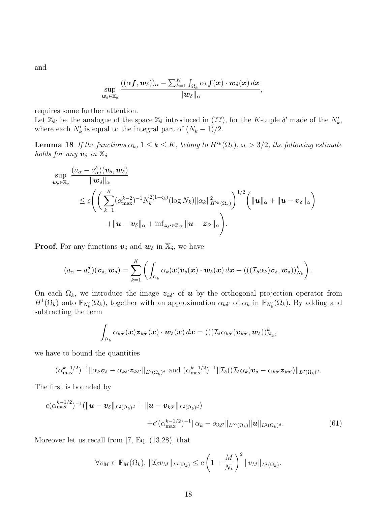and

$$
\sup_{\bm{w}_\delta\in\mathbb{X}_\delta}\frac{((\alpha\bm{f},\bm{w}_\delta))_\alpha-\sum_{k=1}^K\int_{\Omega_k}\alpha_k\bm{f}(\bm{x})\cdot\bm{w}_\delta(\bm{x})\,d\bm{x}}{\|\bm{w}_\delta\|_\alpha},
$$

requires some further attention.

Let  $\mathbb{Z}_{\delta'}$  be the analogue of the space  $\mathbb{Z}_{\delta}$  introduced in (??), for the K-tuple  $\delta'$  made of the  $N'_{k}$ , where each  $N'_k$  is equal to the integral part of  $(N_k - 1)/2$ .

**Lemma 18** If the functions  $\alpha_k$ ,  $1 \leq k \leq K$ , belong to  $H^{s_k}(\Omega_k)$ ,  $\varsigma_k > 3/2$ , the following estimate holds for any  $v_{\delta}$  in  $\mathbb{X}_{\delta}$ 

$$
\sup_{\boldsymbol{w}_{\delta}\in\mathbb{X}_{\delta}}\frac{(a_{\alpha}-a_{\alpha}^{\delta})(\boldsymbol{v}_{\delta},\boldsymbol{w}_{\delta})}{\|\boldsymbol{w}_{\delta}\|_{\alpha}}\n\\ \leq c\Bigg(\bigg(\sum_{k=1}^{K}(\alpha_{\max}^{k-2})^{-1}N_{k}^{2(1-\varsigma_{k})}(\log N_{k})\|\alpha_{k}\|_{H^{\varsigma_{k}}(\Omega_{k})}^{2}\bigg)^{1/2}\bigg(\|\boldsymbol{u}\|_{\alpha}+\|\boldsymbol{u}-\boldsymbol{v}_{\delta}\|_{\alpha}\bigg) + \|\boldsymbol{u}-\boldsymbol{v}_{\delta}\|_{\alpha}+\inf_{\boldsymbol{z}_{\delta'}\in\mathbb{Z}_{\delta'}}\|\boldsymbol{u}-\boldsymbol{z}_{\delta'}\|_{\alpha}\Bigg).
$$

**Proof.** For any functions  $v_{\delta}$  and  $w_{\delta}$  in  $\mathbb{X}_{\delta}$ , we have

$$
(a_{\alpha}-a_{\alpha}^{\delta})(\boldsymbol{v}_{\delta},\boldsymbol{w}_{\delta})=\sum_{k=1}^K\left(\int_{\Omega_k}\alpha_k(\boldsymbol{x})\boldsymbol{v}_{\delta}(\boldsymbol{x})\cdot\boldsymbol{w}_{\delta}(\boldsymbol{x})\,d\boldsymbol{x}-((\left(\mathcal{I}_{\delta}\alpha_k)\boldsymbol{v}_{\delta},\boldsymbol{w}_{\delta}\right))_{N_k}^k\right).
$$

On each  $\Omega_k$ , we introduce the image  $z_{k\delta}$  of **u** by the orthogonal projection operator from  $H^1(\Omega_k)$  onto  $\mathbb{P}_{N'_k}(\Omega_k)$ , together with an approximation  $\alpha_{k\delta'}$  of  $\alpha_k$  in  $\mathbb{P}_{N'_k}(\Omega_k)$ . By adding and subtracting the term

$$
\int_{\Omega_k}\alpha_{k\delta'}(\boldsymbol{x})\boldsymbol{z}_{k\delta'}(\boldsymbol{x})\cdot \boldsymbol{w}_{\delta}(\boldsymbol{x})\,d\boldsymbol{x}=(((\mathcal{I}_{\delta}\alpha_{k\delta'})\boldsymbol{v}_{k\delta'},\boldsymbol{w}_{\delta}))_{N_k}^k,
$$

we have to bound the quantities

$$
(\alpha_{\max}^{k-1/2})^{-1} \|\alpha_k \boldsymbol{v}_{\delta} - \alpha_{k\delta'} \boldsymbol{z}_{k\delta'}\|_{L^2(\Omega_k)^d} \text{ and } (\alpha_{\max}^{k-1/2})^{-1} \|\mathcal{I}_{\delta}((\mathcal{I}_{\delta}\alpha_k)\boldsymbol{v}_{\delta} - \alpha_{k\delta'} \boldsymbol{z}_{k\delta'})\|_{L^2(\Omega_k)^d}.
$$

The first is bounded by

$$
c(\alpha_{\max}^{k-1/2})^{-1}(\|\boldsymbol{u}-\boldsymbol{v}_{\delta}\|_{L^{2}(\Omega_{k})^{d}}+\|\boldsymbol{u}-\boldsymbol{v}_{k\delta'}\|_{L^{2}(\Omega_{k})^{d}})\n+ c'(\alpha_{\max}^{k-1/2})^{-1}\|\alpha_{k}-\alpha_{k\delta'}\|_{L^{\infty}(\Omega_{k})}\|\boldsymbol{u}\|_{L^{2}(\Omega_{k})^{d}}.
$$
\n(61)

Moreover let us recall from [7, Eq. (13.28)] that

$$
\forall v_M \in \mathbb{P}_M(\Omega_k), \, \|\mathcal{I}_{\delta}v_M\|_{L^2(\Omega_k)} \le c \left(1 + \frac{M}{N_k}\right)^2 \|v_M\|_{L^2(\Omega_k)}.
$$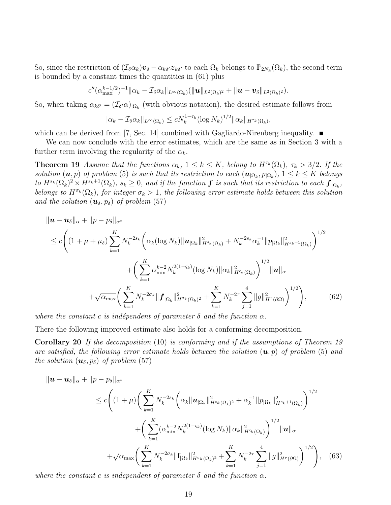So, since the restriction of  $(\mathcal{I}_{\delta} \alpha_k) \boldsymbol{v}_{\delta} - \alpha_{k\delta'} \boldsymbol{z}_{k\delta'}$  to each  $\Omega_k$  belongs to  $\mathbb{P}_{2N_k}(\Omega_k)$ , the second term is bounded by a constant times the quantities in (61) plus

$$
c''(\alpha_{\max}^{k-1/2})^{-1}\|\alpha_k-\mathcal{I}_{\delta}\alpha_k\|_{L^{\infty}(\Omega_k)}(\|\boldsymbol{u}\|_{L^2(\Omega_k)^2}+\|\boldsymbol{u}-\boldsymbol{v}_{\delta}\|_{L^2(\Omega_k)^2}).
$$

So, when taking  $\alpha_{k\delta'} = (\mathcal{I}_{\delta'}\alpha)_{|\Omega_k|}$  (with obvious notation), the desired estimate follows from

$$
|\alpha_k - \mathcal{I}_{\delta} \alpha_k||_{L^{\infty}(\Omega_k)} \le c N_k^{1-\tau_k} (\log N_k)^{1/2} ||\alpha_k||_{H^{\tau_k}(\Omega_k)},
$$

which can be derived from [7, Sec. 14] combined with Gagliardo-Nirenberg inequality.  $\blacksquare$ 

We can now conclude with the error estimates, which are the same as in Section 3 with a further term involving the regularity of the  $\alpha_k$ .

**Theorem 19** Assume that the functions  $\alpha_k$ ,  $1 \leq k \leq K$ , belong to  $H^{\tau_k}(\Omega_k)$ ,  $\tau_k > 3/2$ . If the solution  $(\boldsymbol{u},p)$  of problem (5) is such that its restriction to each  $(\boldsymbol{u}_{|\Omega_k}, p_{|\Omega_k}), 1 \leq k \leq K$  belongs to  $H^{s_k}(\Omega_k)^2 \times H^{s_k+1}(\Omega_k)$ ,  $s_k \geq 0$ , and if the function  $\boldsymbol{f}$  is such that its restriction to each  $\boldsymbol{f}_{|\Omega_k}$ , belongs to  $H^{\sigma_k}(\Omega_k)$ , for integer  $\sigma_k > 1$ , the following error estimate holds between this solution and the solution  $(\mathbf{u}_{\delta}, p_{\delta})$  of problem (57)

$$
\|u - u_{\delta}\|_{\alpha} + \|p - p_{\delta}\|_{\alpha^*} \n\leq c \bigg( (1 + \mu + \mu_{\delta}) \sum_{k=1}^{K} N_k^{-2s_k} \bigg( \alpha_k (\log N_k) \|u_{\Omega_k}\|_{H^{s_k}(\Omega_k)}^2 + N_k^{-2s_k} \alpha_k^{-1} \|p_{\Omega_k}\|_{H^{s_k+1}(\Omega_k)}^2 \bigg)^{1/2} \n+ \bigg( \sum_{k=1}^{K} \alpha_{\min}^{k-2} N_k^{2(1-s_k)} (\log N_k) \|\alpha_k\|_{H^{s_k}(\Omega_k)}^2 \bigg)^{1/2} \|u\|_{\alpha} \n+ \sqrt{\alpha_{\max}} \bigg( \sum_{k=1}^{K} N_k^{-2\sigma_k} \|f_{\Omega_k}\|_{H^{\sigma_k}(\Omega_k)^2}^2 + \sum_{k=1}^{K} N_k^{-2\tau} \sum_{j=1}^{4} \|g\|_{H^{\tau}(\partial \Omega)}^2 \bigg)^{1/2} \bigg), \tag{62}
$$

where the constant c is indépendent of parameter  $\delta$  and the function  $\alpha$ .

There the following improved estimate also holds for a conforming decomposition.

Corollary 20 If the decomposition (10) is conforming and if the assumptions of Theorem 19 are satisfied, the following error estimate holds between the solution  $(\mathbf{u}, p)$  of problem (5) and the solution  $(\mathbf{u}_{\delta}, p_{\delta})$  of problem (57)

$$
\|u - u_{\delta}\|_{\alpha} + \|p - p_{\delta}\|_{\alpha^{*}}\n\leq c \bigg( (1 + \mu) \bigg( \sum_{k=1}^{K} N_k^{-2s_k} \bigg( \alpha_k \|u_{\Omega_k}\|_{H^{s_k}(\Omega_k)^2}^2 + \alpha_k^{-1} \|p_{\Omega_k}\|_{H^{s_k+1}(\Omega_k)}^2 \bigg)^{1/2} + \bigg( \sum_{k=1}^{K} (\alpha_{\min}^{k-2} N_k^{2(1-\varsigma_k)} (\log N_k) \|\alpha_k\|_{H^{s_k}(\Omega_k)}^2 \bigg)^{1/2} \|u\|_{\alpha} + \sqrt{\alpha_{\max}} \bigg( \sum_{k=1}^{K} N_k^{-2\sigma_k} \|f_{\Omega_k}\|_{H^{\sigma_k}(\Omega_k)^2}^2 + \sum_{k=1}^{K} N_k^{-2\tau} \sum_{j=1}^{4} \|g\|_{H^{\tau}(\partial \Omega)}^2 \bigg)^{1/2} \bigg), \quad (63)
$$

where the constant c is independent of parameter  $\delta$  and the function  $\alpha$ .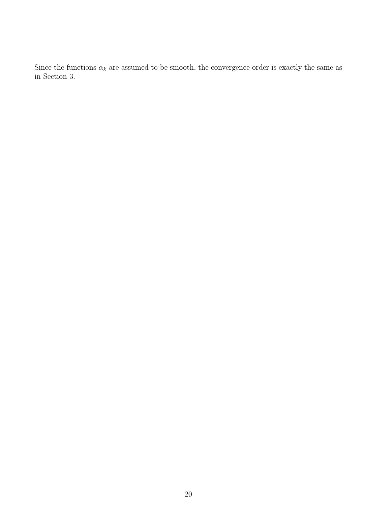Since the functions  $\alpha_k$  are assumed to be smooth, the convergence order is exactly the same as in Section 3.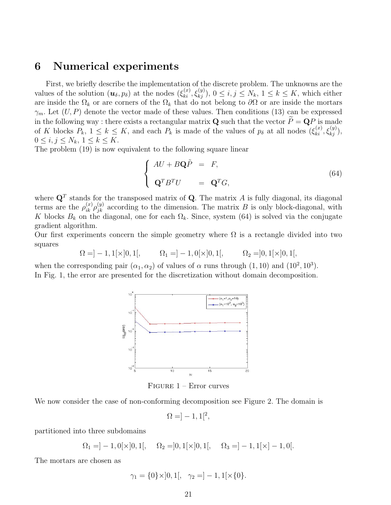#### 6 Numerical experiments

First, we briefly describe the implementation of the discrete problem. The unknowns are the values of the solution  $(\boldsymbol{u}_{\delta}, p_{\delta})$  at the nodes  $(\xi_{ki}^{(x)}, \xi_{kj}^{(y)}), 0 \leq i, j \leq N_k, 1 \leq k \leq K$ , which either are inside the  $\Omega_k$  or are corners of the  $\Omega_k$  that do not belong to  $\partial\Omega$  or are inside the mortars  $\gamma_m$ . Let  $(U, P)$  denote the vector made of these values. Then conditions (13) can be expressed in the following way : there exists a rectangular matrix **Q** such that the vector  $\tilde{P} = \mathbf{Q}P$  is made of K blocks  $P_k$ ,  $1 \leq k \leq K$ , and each  $P_k$  is made of the values of  $p_\delta$  at all nodes  $(\xi_{ki}^{(x)}, \xi_{kj}^{(y)}),$  $0 \leq i, j \leq N_k, 1 \leq k \leq K.$ 

The problem (19) is now equivalent to the following square linear

$$
\begin{cases}\nAU + B\mathbf{Q}\tilde{P} = F, \\
\mathbf{Q}^T B^T U = \mathbf{Q}^T G,\n\end{cases}
$$
\n(64)

where  $\mathbf{Q}^T$  stands for the transposed matrix of Q. The matrix A is fully diagonal, its diagonal terms are the  $\rho_{ik}^{(x)} \rho_{jk}^{(y)}$  according to the dimension. The matrix B is only block-diagonal, with K blocks  $B_k$  on the diagonal, one for each  $\Omega_k$ . Since, system (64) is solved via the conjugate gradient algorithm.

Our first experiments concern the simple geometry where  $\Omega$  is a rectangle divided into two squares

$$
\Omega = ]-1,1[ \times ]0,1[ , \qquad \Omega_1 = ]-1,0[ \times ]0,1[ , \qquad \Omega_2 = ]0,1[ \times ]0,1[ ,
$$

when the corresponding pair  $(\alpha_1, \alpha_2)$  of values of  $\alpha$  runs through  $(1, 10)$  and  $(10^2, 10^3)$ . In Fig. 1, the error are presented for the discretization without domain decomposition.



Figure 1 – Error curves

We now consider the case of non-conforming decomposition see Figure 2. The domain is

$$
\Omega = ]-1,1[^2,
$$

partitioned into three subdomains

$$
\Omega_1 = ]-1, 0[ \times ]0, 1[, \quad \Omega_2 = ]0, 1[ \times ]0, 1[, \quad \Omega_3 = ]-1, 1[ \times ]-1, 0[.
$$

The mortars are chosen as

$$
\gamma_1 = \{0\} \times ]0,1[, \quad \gamma_2 = ]-1,1[ \times \{0\}.
$$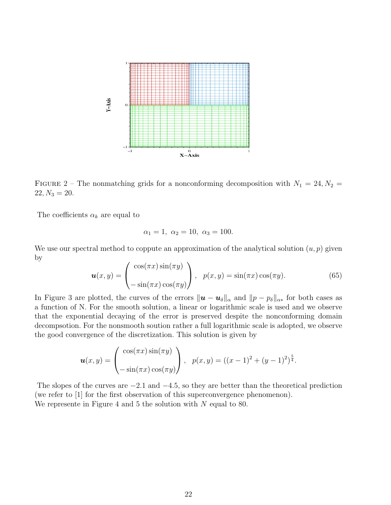

FIGURE 2 – The nonmatching grids for a nonconforming decomposition with  $N_1 = 24, N_2 =$  $22, N_3 = 20.$ 

The coefficients  $\alpha_k$  are equal to

$$
\alpha_1 = 1, \ \alpha_2 = 10, \ \alpha_3 = 100.
$$

We use our spectral method to coppute an approximation of the analytical solution  $(u, p)$  given by

$$
\boldsymbol{u}(x,y) = \begin{pmatrix} \cos(\pi x)\sin(\pi y) \\ -\sin(\pi x)\cos(\pi y) \end{pmatrix}, \quad p(x,y) = \sin(\pi x)\cos(\pi y). \tag{65}
$$

In Figure 3 are plotted, the curves of the errors  $\|\mathbf{u} - \mathbf{u}_{\delta}\|_{\alpha}$  and  $\|p - p_{\delta}\|_{\alpha*}$  for both cases as a function of N. For the smooth solution, a linear or logarithmic scale is used and we observe that the exponential decaying of the error is preserved despite the nonconforming domain decompsotion. For the nonsmooth soution rather a full logarithmic scale is adopted, we observe the good convergence of the discretization. This solution is given by

$$
\boldsymbol{u}(x,y) = \begin{pmatrix} \cos(\pi x)\sin(\pi y) \\ -\sin(\pi x)\cos(\pi y) \end{pmatrix}, \ \ p(x,y) = ((x-1)^2 + (y-1)^2)^{\frac{5}{4}}.
$$

The slopes of the curves are  $-2.1$  and  $-4.5$ , so they are better than the theoretical prediction (we refer to [1] for the first observation of this superconvergence phenomenon). We represente in Figure 4 and 5 the solution with N equal to 80.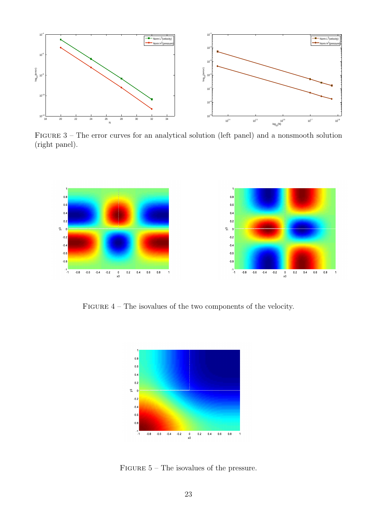

Figure 3 – The error curves for an analytical solution (left panel) and a nonsmooth solution (right panel).



FIGURE  $4$  – The isovalues of the two components of the velocity.



FIGURE  $5$  – The isovalues of the pressure.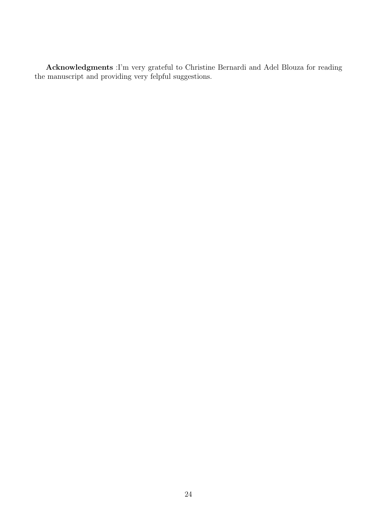Acknowledgments :I'm very grateful to Christine Bernardi and Adel Blouza for reading the manuscript and providing very felpful suggestions.